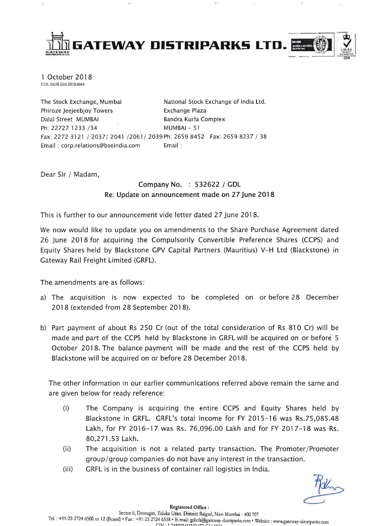

1 October 2018<br>2:\St. Ex\SE Corr 2018.docx

The Stock Exchange, Mumbai National Stock Exchange of India Ltd. Phiroze Jeejeebjoy Towers **Exchange Plaza** Dalal Street MUMBAI Bandra Kurla Complex Ph: 22727 1233 / 34 MUMBAI - 51 Fax: 2272 3121 / 2037/ 2041 /2061/ 2039 Ph: 2659 8452 Fax: 2659 8237 / 38 Email : corp.relations@bseindia.com Email :

Dear Sir / Madam,

## Company No. : 532622 / GDL Re: Update on announcement made on 27 June 2018

This is further to our announcement vide letter dated 27 June 2018.

We now would like to update you on amendments to the Share Purchase Agreement dated 26 June 2018 for acquiring the Compulsorily Convertible Preference Shares (CCPS) and Equity Shares held by Blackstone GPV Capital Partners (Mauritius) V-H Ltd (Blackstone) in Gateway Rail Freight Limited (GRFL).

The amendments are as follows:

- a) The acquisition is now expected to be completed on or before 28 December 2018 (extended from 28 September 2018).
- b) Part payment of about Rs 250 Cr (out of the total consideration of Rs 810 Cr) will be made and part of the CCPS held by Blackstone in GRFL will be acquired on or before 5 October 2018. The balance payment will be made and the rest of the CCPS held by Blackstone will be acquired on or before 28 December 2018.

The other information in our earlier communications referred above remain the same and are given below for ready reference:

- (i) The Company is acquiring the entire CCPS and Equity Shares held by Blackstone in GRFL. GRFL's total income for FY 2015-16 was Rs.75,085.48 Lakh, for FY 2016-17 was Rs. 76,096.00 Lakh and for FY 2017-18 was Rs. 80,271.53 Lakh.
- (ii) The acquisition is not a related party transaction. The Promoter/Promoter group/group companies do not have any interest in the transaction.
- (iii) GRFL is in the business of container rail logistics in India.